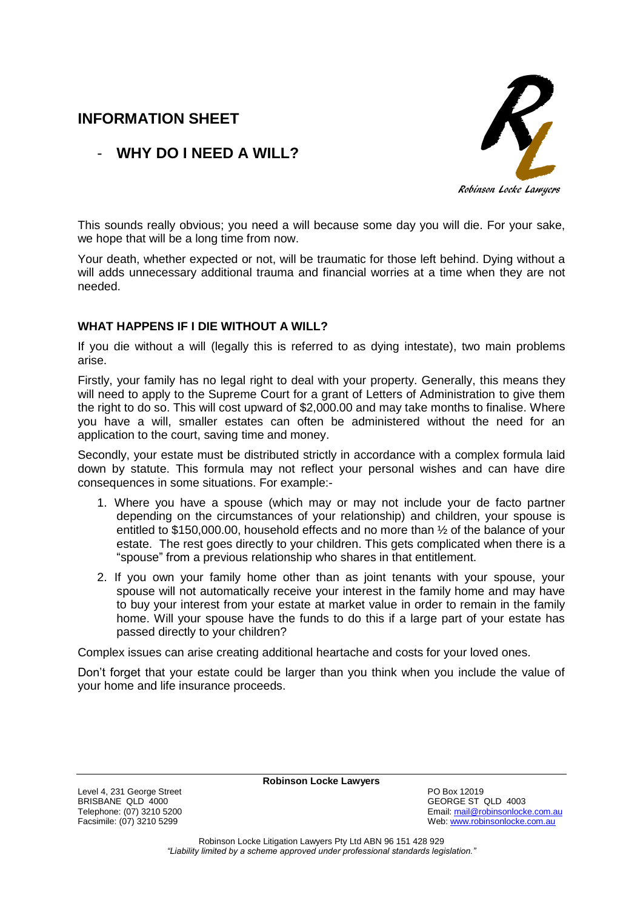# **INFORMATION SHEET**

# R Robinson Locke Lawyers

## - **WHY DO I NEED A WILL?**

This sounds really obvious; you need a will because some day you will die. For your sake, we hope that will be a long time from now.

Your death, whether expected or not, will be traumatic for those left behind. Dying without a will adds unnecessary additional trauma and financial worries at a time when they are not needed.

## **WHAT HAPPENS IF I DIE WITHOUT A WILL?**

If you die without a will (legally this is referred to as dying intestate), two main problems arise.

Firstly, your family has no legal right to deal with your property. Generally, this means they will need to apply to the Supreme Court for a grant of Letters of Administration to give them the right to do so. This will cost upward of \$2,000.00 and may take months to finalise. Where you have a will, smaller estates can often be administered without the need for an application to the court, saving time and money.

Secondly, your estate must be distributed strictly in accordance with a complex formula laid down by statute. This formula may not reflect your personal wishes and can have dire consequences in some situations. For example:-

- 1. Where you have a spouse (which may or may not include your de facto partner depending on the circumstances of your relationship) and children, your spouse is entitled to \$150,000.00, household effects and no more than ½ of the balance of your estate. The rest goes directly to your children. This gets complicated when there is a "spouse" from a previous relationship who shares in that entitlement.
- 2. If you own your family home other than as joint tenants with your spouse, your spouse will not automatically receive your interest in the family home and may have to buy your interest from your estate at market value in order to remain in the family home. Will your spouse have the funds to do this if a large part of your estate has passed directly to your children?

Complex issues can arise creating additional heartache and costs for your loved ones.

Don't forget that your estate could be larger than you think when you include the value of your home and life insurance proceeds.

Level 4, 231 George Street **PO Box 12019** BRISBANE QLD 4000<br>
Telephone: (07) 3210 5200<br>
Telephone: (07) 3210 5200

**Robinson Locke Lawyers**

Telephone: (07) 3210 5200<br>
Facsimile: (07) 3210 5299<br>
Facsimile: (07) 3210 5299 Web: [www.robinsonlocke.com.au](http://www.robinsonlocke.com.au/)

> Robinson Locke Litigation Lawyers Pty Ltd ABN 96 151 428 929 *"Liability limited by a scheme approved under professional standards legislation."*